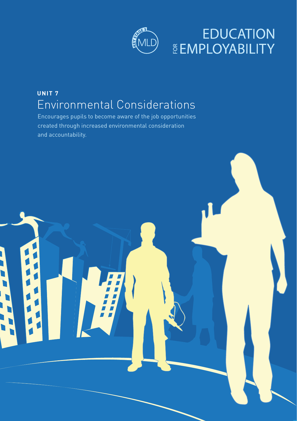

## **EDUCATION ČEMPLOYABILITY**

## **UNIT 7** Environmental Considerations

Encourages pupils to become aware of the job opportunities created through increased environmental consideration and accountability.